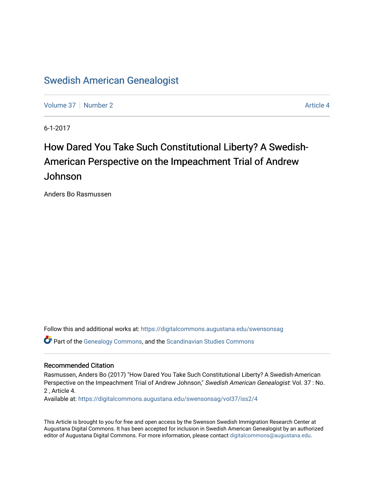### [Swedish American Genealogist](https://digitalcommons.augustana.edu/swensonsag)

[Volume 37](https://digitalcommons.augustana.edu/swensonsag/vol37) | [Number 2](https://digitalcommons.augustana.edu/swensonsag/vol37/iss2) Article 4

6-1-2017

## How Dared You Take Such Constitutional Liberty? A Swedish-American Perspective on the Impeachment Trial of Andrew Johnson

Anders Bo Rasmussen

Follow this and additional works at: [https://digitalcommons.augustana.edu/swensonsag](https://digitalcommons.augustana.edu/swensonsag?utm_source=digitalcommons.augustana.edu%2Fswensonsag%2Fvol37%2Fiss2%2F4&utm_medium=PDF&utm_campaign=PDFCoverPages) 

Part of the [Genealogy Commons,](http://network.bepress.com/hgg/discipline/1342?utm_source=digitalcommons.augustana.edu%2Fswensonsag%2Fvol37%2Fiss2%2F4&utm_medium=PDF&utm_campaign=PDFCoverPages) and the [Scandinavian Studies Commons](http://network.bepress.com/hgg/discipline/485?utm_source=digitalcommons.augustana.edu%2Fswensonsag%2Fvol37%2Fiss2%2F4&utm_medium=PDF&utm_campaign=PDFCoverPages)

### Recommended Citation

Rasmussen, Anders Bo (2017) "How Dared You Take Such Constitutional Liberty? A Swedish-American Perspective on the Impeachment Trial of Andrew Johnson," Swedish American Genealogist: Vol. 37 : No. 2 , Article 4.

Available at: [https://digitalcommons.augustana.edu/swensonsag/vol37/iss2/4](https://digitalcommons.augustana.edu/swensonsag/vol37/iss2/4?utm_source=digitalcommons.augustana.edu%2Fswensonsag%2Fvol37%2Fiss2%2F4&utm_medium=PDF&utm_campaign=PDFCoverPages) 

This Article is brought to you for free and open access by the Swenson Swedish Immigration Research Center at Augustana Digital Commons. It has been accepted for inclusion in Swedish American Genealogist by an authorized editor of Augustana Digital Commons. For more information, please contact [digitalcommons@augustana.edu.](mailto:digitalcommons@augustana.edu)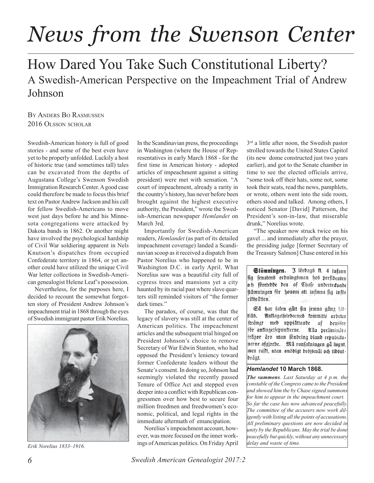# *News from the Swenson Center*

## How Dared You Take Such Constitutional Liberty? A Swedish-American Perspective on the Impeachment Trial of Andrew Johnson

BY ANDERS BO RASMUSSEN 2016 OLSSON SCHOLAR

Swedish-American history is full of good stories - and some of the best even have yet to be properly unfolded. Luckily a host of historic true (and sometimes tall) tales can be excavated from the depths of Augustana College's Swenson Swedish Immigration Research Center. A good case could therefore be made to focus this brief text on Pastor Andrew Jackson and his call for fellow Swedish-Americans to move west just days before he and his Minnesota congregations were attacked by Dakota bands in 1862. Or another might have involved the psychological hardship of Civil War soldiering apparent in Nels Knutson's dispatches from occupied Confederate territory in 1864, or yet another could have utilized the unique Civil War letter collections in Swedish-American genealogist Helene Leaf's possession.

Nevertheless, for the purposes here, I decided to recount the somewhat forgotten story of President Andrew Johnson's impeachment trial in 1868 through the eyes of Swedish immigrant pastor Erik Norelius.



*Erik Norelius 1833–1916.*

In the Scandinavian press, the proceedings in Washington (where the House of Representatives in early March 1868 - for the first time in American history - adopted articles of impeachment against a sitting president) were met with sensation. "A court of impeachment, already a rarity in the country's history, has never before been brought against the highest executive authority, the President," wrote the Swedish-American newspaper *Hemlandet* on March 3rd.

Importantly for Swedish-American readers, *Hemlandet* (as part of its detailed impeachment coverage) landed a Scandinavian scoop as it received a dispatch from Pastor Norelius who happened to be in Washington D.C. in early April. What Norelius saw was a beautiful city full of cypress trees and mansions yet a city haunted by its racial past where slave quarters still reminded visitors of "the former dark times."

The paradox, of course, was that the legacy of slavery was still at the center of American politics. The impeachment articles and the subsequent trial hinged on President Johnson's choice to remove Secretary of War Edwin Stanton, who had opposed the President's leniency toward former Confederate leaders without the Senate's consent. In doing so, Johnson had seemingly violated the recently passed Tenure of Office Act and stepped even deeper into a conflict with Republican congressmen over how best to secure four million freedmen and freedwomen's economic, political, and legal rights in the immediate aftermath of emancipation.

Norelius's impeachment account, however, was more focused on the inner workings of American politics. On Friday April  $3<sup>rd</sup>$  a little after noon, the Swedish pastor strolled towards the United States Capitol (its new dome constructed just two years earlier), and got to the Senate chamber in time to see the elected officials arrive, "some took off their hats, some not, some took their seats, read the news, pamphlets, or wrote, others went into the side room, others stood and talked. Among others, I noticed Senator [David] Patterson, the President's son-in-law, that miserable drunk," Norelius wrote.

"The speaker now struck twice on his gavel ... and immediately after the prayer, the presiding judge [former Secretary of the Treasury Salmon] Chase entered in his

Stämningen. 3 lördags fl. 4 infann fig fenatens ordningsman hos prefidenten och företebbe ben af Chafe underteduabe stämningen för honom att infinna fig inför riforatten. าสุสาร 1 เฉพีร์เหล็

Ca har falen gatt fin jemna gang hittills. Anklagelfeledarnes tommitté arbetar fträngt med uppfättande af bewisen för antlagelfepunkterne. Alla prelimināra frägor äro utan föndring bland republifanerne afgjorde. Må ransafningen gå lugnt, men rajkt, utan onödigt dröjsmål och tidsutdrägt.

#### *Hemlandet* **10 March 1868.**

*The summons. Last Saturday at 4 p.m. the constable of the Congress came to the President and showed him the by Chase signed summons for him to appear in the impeachment court. So far the case has now advanced peacefully. The committee of the accusers now work diligently with listing all the points of accusations. All preliminary questions are now decided in unity by the Republicans. May the trial be done peacefully but quickly, without any unnecessary delay and waste of time.*